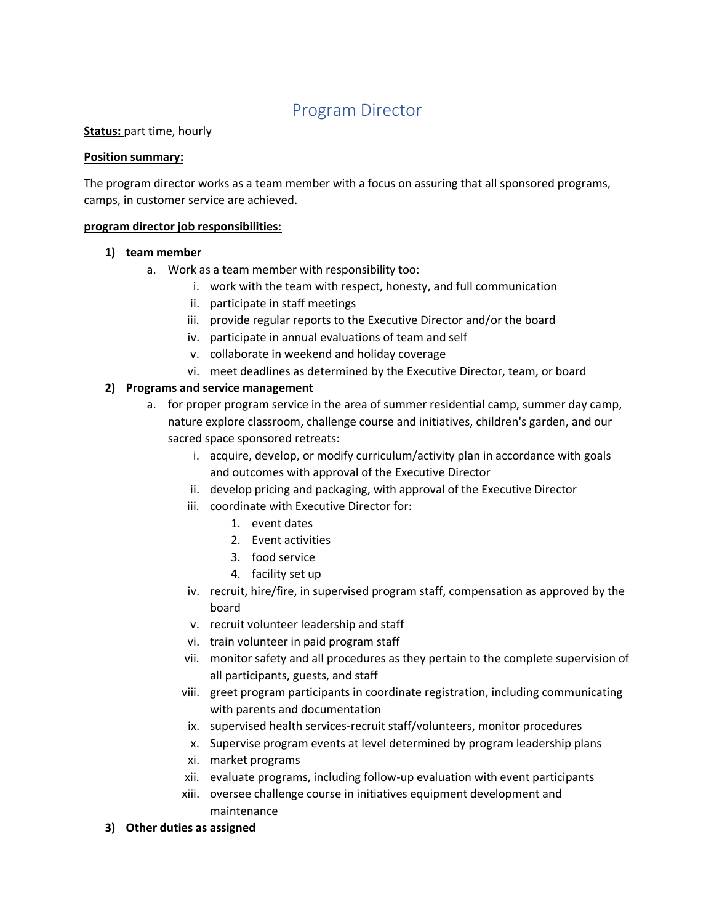# Program Director

## **Status:** part time, hourly

#### **Position summary:**

The program director works as a team member with a focus on assuring that all sponsored programs, camps, in customer service are achieved.

#### **program director job responsibilities:**

#### **1) team member**

- a. Work as a team member with responsibility too:
	- i. work with the team with respect, honesty, and full communication
	- ii. participate in staff meetings
	- iii. provide regular reports to the Executive Director and/or the board
	- iv. participate in annual evaluations of team and self
	- v. collaborate in weekend and holiday coverage
	- vi. meet deadlines as determined by the Executive Director, team, or board

## **2) Programs and service management**

- a. for proper program service in the area of summer residential camp, summer day camp, nature explore classroom, challenge course and initiatives, children's garden, and our sacred space sponsored retreats:
	- i. acquire, develop, or modify curriculum/activity plan in accordance with goals and outcomes with approval of the Executive Director
	- ii. develop pricing and packaging, with approval of the Executive Director
	- iii. coordinate with Executive Director for:
		- 1. event dates
		- 2. Event activities
		- 3. food service
		- 4. facility set up
	- iv. recruit, hire/fire, in supervised program staff, compensation as approved by the board
	- v. recruit volunteer leadership and staff
	- vi. train volunteer in paid program staff
	- vii. monitor safety and all procedures as they pertain to the complete supervision of all participants, guests, and staff
	- viii. greet program participants in coordinate registration, including communicating with parents and documentation
	- ix. supervised health services-recruit staff/volunteers, monitor procedures
	- x. Supervise program events at level determined by program leadership plans
	- xi. market programs
	- xii. evaluate programs, including follow-up evaluation with event participants
	- xiii. oversee challenge course in initiatives equipment development and maintenance
- **3) Other duties as assigned**